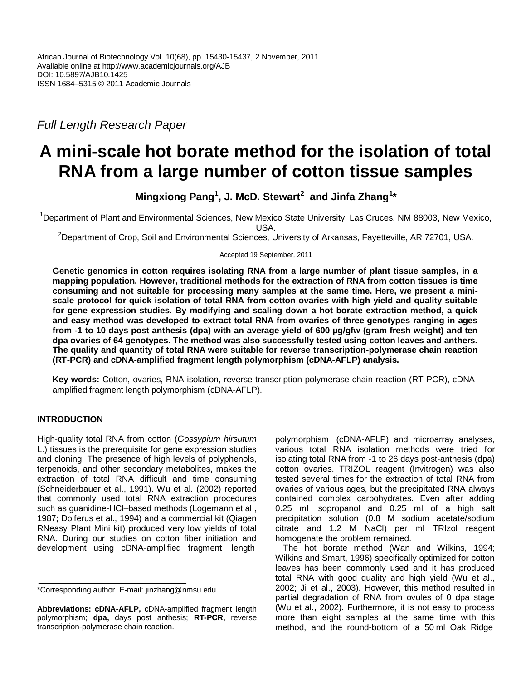*Full Length Research Paper*

# **A mini-scale hot borate method for the isolation of total RNA from a large number of cotton tissue samples**

**Mingxiong Pang<sup>1</sup> , J. McD. Stewart<sup>2</sup> and Jinfa Zhang<sup>1</sup> \***

<sup>1</sup>Department of Plant and Environmental Sciences, New Mexico State University, Las Cruces, NM 88003, New Mexico, USA.

<sup>2</sup>Department of Crop, Soil and Environmental Sciences, University of Arkansas, Fayetteville, AR 72701, USA.

Accepted 19 September, 2011

**Genetic genomics in cotton requires isolating RNA from a large number of plant tissue samples, in a mapping population. However, traditional methods for the extraction of RNA from cotton tissues is time consuming and not suitable for processing many samples at the same time. Here, we present a miniscale protocol for quick isolation of total RNA from cotton ovaries with high yield and quality suitable for gene expression studies. By modifying and scaling down a hot borate extraction method, a quick and easy method was developed to extract total RNA from ovaries of three genotypes ranging in ages from -1 to 10 days post anthesis (dpa) with an average yield of 600 µg/gfw (gram fresh weight) and ten dpa ovaries of 64 genotypes. The method was also successfully tested using cotton leaves and anthers. The quality and quantity of total RNA were suitable for reverse transcription-polymerase chain reaction (RT-PCR) and cDNA-amplified fragment length polymorphism (cDNA-AFLP) analysis.**

**Key words:** Cotton, ovaries, RNA isolation, reverse transcription-polymerase chain reaction (RT-PCR), cDNAamplified fragment length polymorphism (cDNA-AFLP).

## **INTRODUCTION**

High-quality total RNA from cotton (*Gossypium hirsutum* L.) tissues is the prerequisite for gene expression studies and cloning. The presence of high levels of polyphenols, terpenoids, and other secondary metabolites, makes the extraction of total RNA difficult and time consuming (Schneiderbauer et al., 1991). Wu et al. (2002) reported that commonly used total RNA extraction procedures such as guanidine-HCl–based methods (Logemann et al., 1987; Dolferus et al., 1994) and a commercial kit (Qiagen RNeasy Plant Mini kit) produced very low yields of total RNA. During our studies on cotton fiber initiation and development using cDNA-amplified fragment length

polymorphism (cDNA-AFLP) and microarray analyses, various total RNA isolation methods were tried for isolating total RNA from -1 to 26 days post-anthesis (dpa) cotton ovaries. TRIZOL reagent (Invitrogen) was also tested several times for the extraction of total RNA from ovaries of various ages, but the precipitated RNA always contained complex carbohydrates. Even after adding 0.25 ml isopropanol and 0.25 ml of a high salt precipitation solution (0.8 M sodium acetate/sodium citrate and 1.2 M NaCl) per ml TRIzol reagent homogenate the problem remained.

The hot borate method (Wan and Wilkins, 1994; Wilkins and Smart, 1996) specifically optimized for cotton leaves has been commonly used and it has produced total RNA with good quality and high yield (Wu et al., 2002; Ji et al., 2003). However, this method resulted in partial degradation of RNA from ovules of 0 dpa stage (Wu et al., 2002). Furthermore, it is not easy to process more than eight samples at the same time with this method, and the round-bottom of a 50 ml Oak Ridge

<sup>\*</sup>Corresponding author. E-mail: jinzhang@nmsu.edu.

**Abbreviations: cDNA-AFLP,** cDNA-amplified fragment length polymorphism; **dpa,** days post anthesis; **RT-PCR,** reverse transcription-polymerase chain reaction.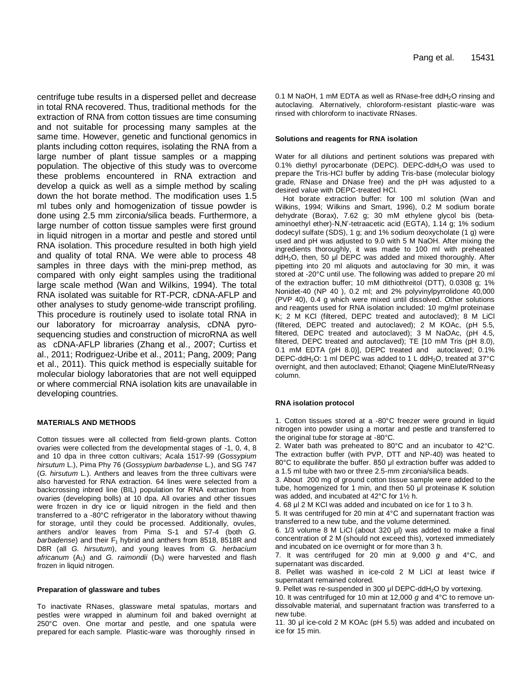centrifuge tube results in a dispersed pellet and decrease in total RNA recovered. Thus, traditional methods for the extraction of RNA from cotton tissues are time consuming and not suitable for processing many samples at the same time. However, genetic and functional genomics in plants including cotton requires, isolating the RNA from a large number of plant tissue samples or a mapping population. The objective of this study was to overcome these problems encountered in RNA extraction and develop a quick as well as a simple method by scaling down the hot borate method. The modification uses 1.5 ml tubes only and homogenization of tissue powder is done using 2.5 mm zirconia/silica beads. Furthermore, a large number of cotton tissue samples were first ground in liquid nitrogen in a mortar and pestle and stored until RNA isolation. This procedure resulted in both high yield and quality of total RNA. We were able to process 48 samples in three days with the mini-prep method, as compared with only eight samples using the traditional large scale method (Wan and Wilkins, 1994). The total RNA isolated was suitable for RT-PCR, cDNA-AFLP and other analyses to study genome-wide transcript profiling. This procedure is routinely used to isolate total RNA in our laboratory for microarray analysis, cDNA pyrosequencing studies and construction of microRNA as well as cDNA-AFLP libraries (Zhang et al., 2007; Curtiss et al., 2011; Rodriguez-Uribe et al., 2011; Pang, 2009; Pang et al., 2011). This quick method is especially suitable for molecular biology laboratories that are not well equipped or where commercial RNA isolation kits are unavailable in developing countries.

#### **MATERIALS AND METHODS**

Cotton tissues were all collected from field-grown plants. Cotton ovaries were collected from the developmental stages of -1, 0, 4, 8 and 10 dpa in three cotton cultivars; Acala 1517-99 (*Gossypium hirsutum* L.), Pima Phy 76 (*Gossypium barbadense* L.), and SG 747 (*G. hirsutum* L.). Anthers and leaves from the three cultivars were also harvested for RNA extraction. 64 lines were selected from a backcrossing inbred line (BIL) population for RNA extraction from ovaries (developing bolls) at 10 dpa. All ovaries and other tissues were frozen in dry ice or liquid nitrogen in the field and then transferred to a -80°C refrigerator in the laboratory without thawing for storage, until they could be processed. Additionally, ovules, anthers and/or leaves from Pima S-1 and 57-4 (both *G. barbadense*) and their F<sub>1</sub> hybrid and anthers from 8518, 8518R and D8R (all *G. hirsutum*), and young leaves from *G. herbacium*  africanum (A<sub>1</sub>) and *G. raimondii* (D<sub>5</sub>) were harvested and flash frozen in liquid nitrogen.

#### **Preparation of glassware and tubes**

To inactivate RNases, glassware metal spatulas, mortars and pestles were wrapped in aluminum foil and baked overnight at 250°C oven. One mortar and pestle, and one spatula were prepared for each sample. Plastic-ware was thoroughly rinsed in

0.1 M NaOH, 1 mM EDTA as well as RNase-free ddH<sub>2</sub>O rinsing and autoclaving. Alternatively, chloroform-resistant plastic-ware was rinsed with chloroform to inactivate RNases.

#### **Solutions and reagents for RNA isolation**

Water for all dilutions and pertinent solutions was prepared with 0.1% diethyl pyrocarbonate (DEPC). DEPC-ddH<sub>2</sub>O was used to prepare the Tris-HCl buffer by adding Tris-base (molecular biology grade, RNase and DNase free) and the pH was adjusted to a desired value with DEPC-treated HCl.

Hot borate extraction buffer: for 100 ml solution (Wan and Wilkins, 1994; Wilkins and Smart, 1996), 0.2 M sodium borate dehydrate (Borax), 7.62 g; 30 mM ethylene glycol bis (betaaminoethyl ether)-N,N'-tetraacetic acid (EGTA), 1.14 g; 1% sodium dodecyl sulfate (SDS), 1 g; and 1% sodium deoxycholate (1 g) were used and pH was adjusted to 9.0 with 5 M NaOH. After mixing the ingredients thoroughly, it was made to 100 ml with preheated ddH2O, then, 50 μl DEPC was added and mixed thoroughly. After pipetting into 20 ml aliquots and autoclaving for 30 min, it was stored at -20°C until use. The following was added to prepare 20 ml of the extraction buffer; 10 mM dithiothreitol (DTT), 0.0308 g; 1% Nonidet-40 (NP 40 ), 0.2 ml; and 2% polyvinylpyrrolidone 40,000 (PVP 40), 0.4 g which were mixed until dissolved. Other solutions and reagents used for RNA isolation included: 10 mg/ml proteinase K; 2 M KCl (filtered, DEPC treated and autoclaved); 8 M LiCl (filtered, DEPC treated and autoclaved); 2 M KOAc, (pH 5.5, filtered, DEPC treated and autoclaved); 3 M NaOAc, (pH 4.5, filtered, DEPC treated and autoclaved); TE [10 mM Tris (pH 8.0), 0.1 mM EDTA (pH 8.0)], DEPC treated and autoclaved; 0.1% DEPC-ddH<sub>2</sub>O: 1 ml DEPC was added to 1 L ddH<sub>2</sub>O, treated at 37°C overnight, and then autoclaved; Ethanol; Qiagene MinElute/RNeasy column.

#### **RNA isolation protocol**

1. Cotton tissues stored at a -80°C freezer were ground in liquid nitrogen into powder using a mortar and pestle and transferred to the original tube for storage at -80°C.

2. Water bath was preheated to 80°C and an incubator to 42°C. The extraction buffer (with PVP, DTT and NP-40) was heated to 80°C to equilibrate the buffer. 850 μl extraction buffer was added to a 1.5 ml tube with two or three 2.5-mm zirconia/silica beads.

3. About 200 mg of ground cotton tissue sample were added to the tube, homogenized for 1 min, and then 50 μl proteinase K solution was added, and incubated at 42°C for 1½ h.

4. 68 μl 2 M KCl was added and incubated on ice for 1 to 3 h.

5. It was centrifuged for 20 min at 4°C and supernatant fraction was transferred to a new tube, and the volume determined.

6. 1/3 volume 8 M LiCl (about 320 µl) was added to make a final concentration of 2 M (should not exceed this), vortexed immediately and incubated on ice overnight or for more than 3 h.

7. It was centrifuged for 20 min at 9,000 *g* and 4°C, and supernatant was discarded.

8. Pellet was washed in ice-cold 2 M LiCl at least twice if supernatant remained colored.

9. Pellet was re-suspended in 300 μl DEPC-ddH<sub>2</sub>O by vortexing.

10. It was centrifuged for 10 min at 12,000 *g* and 4°C to remove undissolvable material, and supernatant fraction was transferred to a new tube.

11. 30 μl ice-cold 2 M KOAc (pH 5.5) was added and incubated on ice for 15 min.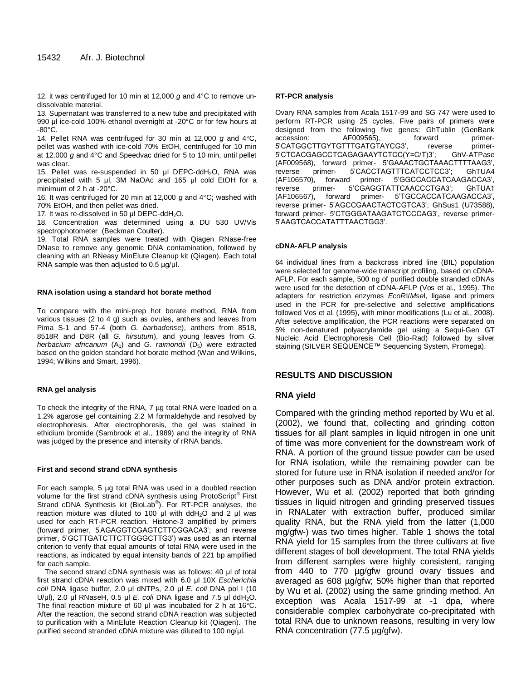12. it was centrifuged for 10 min at 12,000 *g* and 4°C to remove undissolvable material.

13. Supernatant was transferred to a new tube and precipitated with 990 μl ice-cold 100% ethanol overnight at -20°C or for few hours at -80°C.

14. Pellet RNA was centrifuged for 30 min at 12,000 *g* and 4°C, pellet was washed with ice-cold 70% EtOH, centrifuged for 10 min at 12,000 *g* and 4°C and Speedvac dried for 5 to 10 min, until pellet was clear.

15. Pellet was re-suspended in 50 μl DEPC-ddH<sub>2</sub>O, RNA was precipitated with 5 μl, 3M NaOAc and 165 μl cold EtOH for a minimum of 2 h at -20°C.

16. It was centrifuged for 20 min at 12,000 *g* and 4°C; washed with 70% EtOH, and then pellet was dried.

17. It was re-dissolved in 50 μl DEPC-ddH2O.

18. Concentration was determined using a DU 530 UV/Vis spectrophotometer (Beckman Coulter).

19. Total RNA samples were treated with Qiagen RNase-free DNase to remove any genomic DNA contamination, followed by cleaning with an RNeasy MinElute Cleanup kit (Qiagen). Each total RNA sample was then adjusted to 0.5 µg/μl.

#### **RNA isolation using a standard hot borate method**

To compare with the mini-prep hot borate method, RNA from various tissues (2 to 4 g) such as ovules, anthers and leaves from Pima S-1 and 57-4 (both *G. barbadense*), anthers from 8518, 8518R and D8R (all *G. hirsutum*), and young leaves from *G. herbacium africanum* (A<sub>1</sub>) and *G. raimondii* (D<sub>5</sub>) were extracted based on the golden standard hot borate method (Wan and Wilkins, 1994; Wilkins and Smart, 1996).

#### **RNA gel analysis**

To check the integrity of the RNA, 7 µg total RNA were loaded on a 1.2% agarose gel containing 2.2 M formaldehyde and resolved by electrophoresis. After electrophoresis, the gel was stained in ethidium bromide (Sambrook et al., 1989) and the integrity of RNA was judged by the presence and intensity of rRNA bands.

#### **First and second strand cDNA synthesis**

For each sample, 5 µg total RNA was used in a doubled reaction volume for the first strand cDNA synthesis using ProtoScript® First Strand cDNA Synthesis kit (BioLab®). For RT-PCR analyses, the reaction mixture was diluted to 100 μl with ddH2O and 2 μl was used for each RT-PCR reaction. Histone-3 amplified by primers (forward primer, 5AGAGGTCGAGTCTTCGGACA3'; and reverse primer, 5'GCTTGATCTTCTTGGGCTTG3') was used as an internal criterion to verify that equal amounts of total RNA were used in the reactions, as indicated by equal intensity bands of 221 bp amplified for each sample.

The second strand cDNA synthesis was as follows: 40 μl of total first strand cDNA reaction was mixed with 6.0 μl 10X *Escherichia coli* DNA ligase buffer, 2.0 μl dNTPs, 2.0 μl *E. coli* DNA pol I (10 U/ $\mu$ l), 2.0  $\mu$ l RNaseH, 0.5  $\mu$ l *E. coli* DNA ligase and 7.5  $\mu$ l ddH<sub>2</sub>O. The final reaction mixture of 60 μl was incubated for 2 h at 16°C. After the reaction, the second strand cDNA reaction was subjected to purification with a MinElute Reaction Cleanup kit (Qiagen). The purified second stranded cDNA mixture was diluted to 100 ng/μl.

#### **RT-PCR analysis**

Ovary RNA samples from Acala 1517-99 and SG 747 were used to perform RT-PCR using 25 cycles. Five pairs of primers were designed from the following five genes: GhTublin (GenBank accession: AF009565), forward primer-5'CATGGCTTGYTGTTTGATGTAYCG3', reverse primer-5'CTCACGAGCCTCAGAGAAYTCTCC(Y=C/T)3'; GhV-ATPase (AF009568), forward primer- 5'GAAACTGCTAAACTTTTAAG3', reverse primer- 5'CACCTAGTTTCATCCTCC3'; GhTUA4 (AF106570), forward primer- 5'GGCCACCATCAAGACCA3', reverse primer- 5'CGAGGTATTCAACCCTGA3'; GhTUA1 (AF106567), forward primer- 5'TGCCACCATCAAGACCA3', reverse primer- 5'AGCCGAACTACTCGTCA3'; GhSus1 (U73588), forward primer- 5'CTGGGATAAGATCTCCCAG3', reverse primer-5'AAGTCACCATATTTAACTGG3'.

#### **cDNA-AFLP analysis**

64 individual lines from a backcross inbred line (BIL) population were selected for genome-wide transcript profiling, based on cDNA-AFLP. For each sample, 500 ng of purified double stranded cDNAs were used for the detection of cDNA-AFLP (Vos et al., 1995). The adapters for restriction enzymes *EcoR*I/*Mse*I, ligase and primers used in the PCR for pre-selective and selective amplifications followed Vos et al. (1995), with minor modifications (Lu et al., 2008). After selective amplification, the PCR reactions were separated on 5% non-denatured polyacrylamide gel using a Sequi-Gen GT Nucleic Acid Electrophoresis Cell (Bio-Rad) followed by silver staining (SILVER SEQUENCE™ Sequencing System, Promega).

## **RESULTS AND DISCUSSION**

## **RNA yield**

Compared with the grinding method reported by Wu et al. (2002), we found that, collecting and grinding cotton tissues for all plant samples in liquid nitrogen in one unit of time was more convenient for the downstream work of RNA. A portion of the ground tissue powder can be used for RNA isolation, while the remaining powder can be stored for future use in RNA isolation if needed and/or for other purposes such as DNA and/or protein extraction. However, Wu et al. (2002) reported that both grinding tissues in liquid nitrogen and grinding preserved tissues in RNALater with extraction buffer, produced similar quality RNA, but the RNA yield from the latter (1,000 mg/gfw-) was two times higher. Table 1 shows the total RNA yield for 15 samples from the three cultivars at five different stages of boll development. The total RNA yields from different samples were highly consistent, ranging from 440 to 770 µg/gfw ground ovary tissues and averaged as 608 µg/gfw; 50% higher than that reported by Wu et al. (2002) using the same grinding method. An exception was Acala 1517-99 at -1 dpa, where considerable complex carbohydrate co-precipitated with total RNA due to unknown reasons, resulting in very low RNA concentration (77.5 µg/gfw).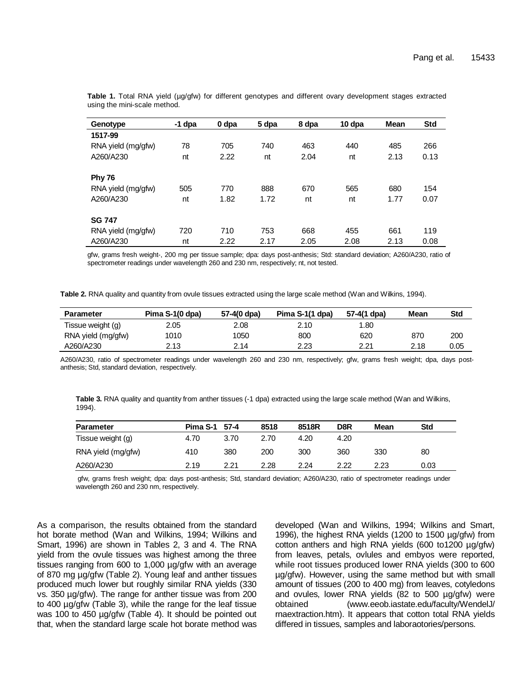| Genotype           | $-1$ dpa | 0 dpa | 5 dpa | 8 dpa | 10 dpa | <b>Mean</b> | <b>Std</b> |
|--------------------|----------|-------|-------|-------|--------|-------------|------------|
| 1517-99            |          |       |       |       |        |             |            |
| RNA yield (mg/gfw) | 78       | 705   | 740   | 463   | 440    | 485         | 266        |
| A260/A230          | nt       | 2.22  | nt    | 2.04  | nt     | 2.13        | 0.13       |
|                    |          |       |       |       |        |             |            |
| <b>Phy 76</b>      |          |       |       |       |        |             |            |
| RNA yield (mg/gfw) | 505      | 770   | 888   | 670   | 565    | 680         | 154        |
| A260/A230          | nt       | 1.82  | 1.72  | nt    | nt     | 1.77        | 0.07       |
|                    |          |       |       |       |        |             |            |
| <b>SG 747</b>      |          |       |       |       |        |             |            |
| RNA yield (mg/gfw) | 720      | 710   | 753   | 668   | 455    | 661         | 119        |
| A260/A230          | nt       | 2.22  | 2.17  | 2.05  | 2.08   | 2.13        | 0.08       |

**Table 1.** Total RNA yield (µg/gfw) for different genotypes and different ovary development stages extracted using the mini-scale method.

gfw, grams fresh weight-, 200 mg per tissue sample; dpa: days post-anthesis; Std: standard deviation; A260/A230, ratio of spectrometer readings under wavelength 260 and 230 nm, respectively; nt, not tested.

**Table 2.** RNA quality and quantity from ovule tissues extracted using the large scale method (Wan and Wilkins, 1994).

| <b>Parameter</b>   | Pima S-1(0 dpa) | 57-4(0 dpa) | Pima S-1(1 dpa) | 57-4(1 dpa) | Mean | Std  |
|--------------------|-----------------|-------------|-----------------|-------------|------|------|
| Tissue weight (g)  | 2.05            | 2.08        | 2.10            | .80         |      |      |
| RNA yield (mg/gfw) | 1010            | 1050        | 800             | 620         | 870  | 200  |
| A260/A230          | 2.13            | 2.14        | 2.23            | 2.21        | 2.18 | 0.05 |

A260/A230, ratio of spectrometer readings under wavelength 260 and 230 nm, respectively; gfw, grams fresh weight; dpa, days postanthesis; Std, standard deviation, respectively.

|        | Table 3. RNA quality and quantity from anther tissues (-1 dpa) extracted using the large scale method (Wan and Wilkins, |
|--------|-------------------------------------------------------------------------------------------------------------------------|
| 1994). |                                                                                                                         |

| <b>Parameter</b>   | Pima S-1 57-4 |      | 8518 | 8518R | D8R  | Mean | <b>Std</b> |  |
|--------------------|---------------|------|------|-------|------|------|------------|--|
| Tissue weight (g)  | 4.70          | 3.70 | 2.70 | 4.20  | 4.20 |      |            |  |
| RNA yield (mg/gfw) | 410           | 380  | 200  | 300   | 360  | 330  | 80         |  |
| A260/A230          | 2.19          | 2.21 | 2.28 | 2.24  | 2.22 | 2.23 | 0.03       |  |

gfw, grams fresh weight; dpa: days post-anthesis; Std, standard deviation; A260/A230, ratio of spectrometer readings under wavelength 260 and 230 nm, respectively.

As a comparison, the results obtained from the standard hot borate method (Wan and Wilkins, 1994; Wilkins and Smart, 1996) are shown in Tables 2, 3 and 4. The RNA yield from the ovule tissues was highest among the three tissues ranging from 600 to 1,000 µg/gfw with an average of 870 mg µg/gfw (Table 2). Young leaf and anther tissues produced much lower but roughly similar RNA yields (330 vs. 350 µg/gfw). The range for anther tissue was from 200 to 400 µg/gfw (Table 3), while the range for the leaf tissue was 100 to 450 µg/gfw (Table 4). It should be pointed out that, when the standard large scale hot borate method was developed (Wan and Wilkins, 1994; Wilkins and Smart, 1996), the highest RNA yields (1200 to 1500 µg/gfw) from cotton anthers and high RNA yields (600 to1200 µg/gfw) from leaves, petals, ovlules and embyos were reported, while root tissues produced lower RNA yields (300 to 600 µg/gfw). However, using the same method but with small amount of tissues (200 to 400 mg) from leaves, cotyledons and ovules, lower RNA yields (82 to 500 µg/gfw) were obtained (www.eeob.iastate.edu/faculty/WendelJ/ rnaextraction.htm). It appears that cotton total RNA yields differed in tissues, samples and laboraotories/persons.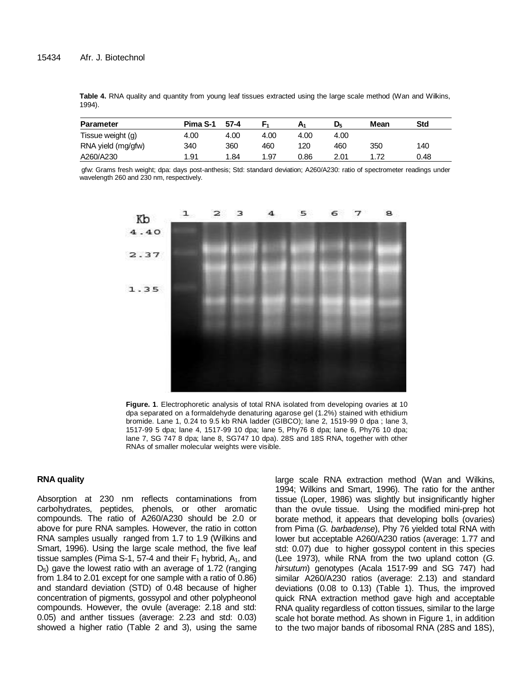|        |  |  |  |  | Table 4. RNA quality and quantity from young leaf tissues extracted using the large scale method (Wan and Wilkins, |  |  |  |  |
|--------|--|--|--|--|--------------------------------------------------------------------------------------------------------------------|--|--|--|--|
| 1994). |  |  |  |  |                                                                                                                    |  |  |  |  |

| <b>Parameter</b>   | Pima S-1 | $57 - 4$ |      | A <sub>1</sub> | D5   | Mean | Std  |
|--------------------|----------|----------|------|----------------|------|------|------|
| Tissue weight (g)  | 4.00     | 4.00     | 4.00 | 4.00           | 4.00 |      |      |
| RNA yield (mg/gfw) | 340      | 360      | 460  | 120            | 460  | 350  | 140  |
| A260/A230          | 1.91     | 1.84     | 1.97 | 0.86           | 2.01 | 1.72 | 0.48 |

gfw: Grams fresh weight; dpa: days post-anthesis; Std: standard deviation; A260/A230: ratio of spectrometer readings under wavelength 260 and 230 nm, respectively.



**Figure. 1**. Electrophoretic analysis of total RNA isolated from developing ovaries at 10 dpa separated on a formaldehyde denaturing agarose gel (1.2%) stained with ethidium bromide. Lane 1, 0.24 to 9.5 kb RNA ladder (GIBCO); lane 2, 1519-99 0 dpa ; lane 3, 1517-99 5 dpa; lane 4, 1517-99 10 dpa; lane 5, Phy76 8 dpa; lane 6, Phy76 10 dpa; lane 7, SG 747 8 dpa; lane 8, SG747 10 dpa). 28S and 18S RNA, together with other RNAs of smaller molecular weights were visible.

## **RNA quality**

Absorption at 230 nm reflects contaminations from carbohydrates, peptides, phenols, or other aromatic compounds. The ratio of A260/A230 should be 2.0 or above for pure RNA samples. However, the ratio in cotton RNA samples usually ranged from 1.7 to 1.9 (Wilkins and Smart, 1996). Using the large scale method, the five leaf tissue samples (Pima S-1, 57-4 and their  $F_1$  hybrid, A<sub>1</sub>, and  $D<sub>5</sub>$ ) gave the lowest ratio with an average of 1.72 (ranging from 1.84 to 2.01 except for one sample with a ratio of 0.86) and standard deviation (STD) of 0.48 because of higher concentration of pigments, gossypol and other polypheonol compounds. However, the ovule (average: 2.18 and std: 0.05) and anther tissues (average: 2.23 and std: 0.03) showed a higher ratio (Table 2 and 3), using the same large scale RNA extraction method (Wan and Wilkins, 1994; Wilkins and Smart, 1996). The ratio for the anther tissue (Loper, 1986) was slightly but insignificantly higher than the ovule tissue. Using the modified mini-prep hot borate method, it appears that developing bolls (ovaries) from Pima (*G. barbadense*), Phy 76 yielded total RNA with lower but acceptable A260/A230 ratios (average: 1.77 and std: 0.07) due to higher gossypol content in this species (Lee 1973), while RNA from the two upland cotton (*G. hirsutum*) genotypes (Acala 1517-99 and SG 747) had similar A260/A230 ratios (average: 2.13) and standard deviations (0.08 to 0.13) (Table 1). Thus, the improved quick RNA extraction method gave high and acceptable RNA quality regardless of cotton tissues, similar to the large scale hot borate method. As shown in Figure 1, in addition to the two major bands of ribosomal RNA (28S and 18S),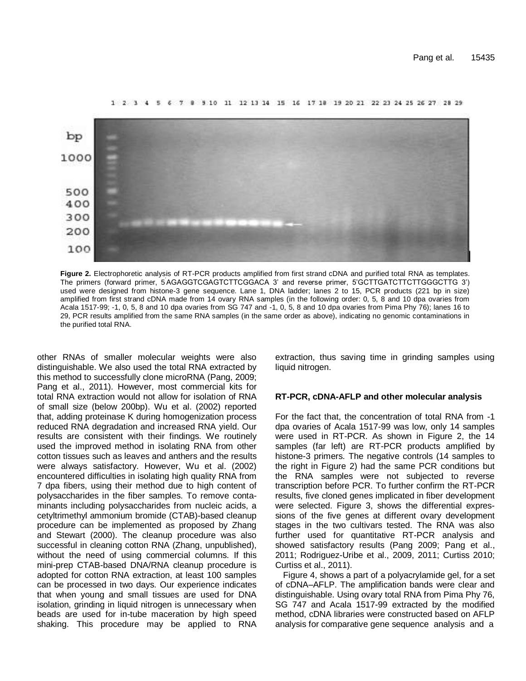

1 2 3 4 5 6 7 8 9 10 11 12 13 14 15 16 17 18 19 20 21 22 23 24 25 26 27 28 29

**Figure 2.** Electrophoretic analysis of RT-PCR products amplified from first strand cDNA and purified total RNA as templates. The primers (forward primer, 5'AGAGGTCGAGTCTTCGGACA 3' and reverse primer, 5'GCTTGATCTTCTTGGGCTTG 3') used were designed from histone-3 gene sequence. Lane 1, DNA ladder; lanes 2 to 15, PCR products (221 bp in size) amplified from first strand cDNA made from 14 ovary RNA samples (in the following order: 0, 5, 8 and 10 dpa ovaries from Acala 1517-99; -1, 0, 5, 8 and 10 dpa ovaries from SG 747 and -1, 0, 5, 8 and 10 dpa ovaries from Pima Phy 76); lanes 16 to 29, PCR results amplified from the same RNA samples (in the same order as above), indicating no genomic contaminations in the purified total RNA.

other RNAs of smaller molecular weights were also distinguishable. We also used the total RNA extracted by this method to successfully clone microRNA (Pang, 2009; Pang et al., 2011). However, most commercial kits for total RNA extraction would not allow for isolation of RNA of small size (below 200bp). Wu et al. (2002) reported that, adding proteinase K during homogenization process reduced RNA degradation and increased RNA yield. Our results are consistent with their findings. We routinely used the improved method in isolating RNA from other cotton tissues such as leaves and anthers and the results were always satisfactory. However, Wu et al. (2002) encountered difficulties in isolating high quality RNA from 7 dpa fibers, using their method due to high content of polysaccharides in the fiber samples. To remove contaminants including polysaccharides from nucleic acids, a cetyltrimethyl ammonium bromide (CTAB)-based cleanup procedure can be implemented as proposed by Zhang and Stewart (2000). The cleanup procedure was also successful in cleaning cotton RNA (Zhang, unpublished), without the need of using commercial columns. If this mini-prep CTAB-based DNA/RNA cleanup procedure is adopted for cotton RNA extraction, at least 100 samples can be processed in two days. Our experience indicates that when young and small tissues are used for DNA isolation, grinding in liquid nitrogen is unnecessary when beads are used for in-tube maceration by high speed shaking. This procedure may be applied to RNA extraction, thus saving time in grinding samples using liquid nitrogen.

## **RT-PCR, cDNA-AFLP and other molecular analysis**

For the fact that, the concentration of total RNA from -1 dpa ovaries of Acala 1517-99 was low, only 14 samples were used in RT-PCR. As shown in Figure 2, the 14 samples (far left) are RT-PCR products amplified by histone-3 primers. The negative controls (14 samples to the right in Figure 2) had the same PCR conditions but the RNA samples were not subjected to reverse transcription before PCR. To further confirm the RT-PCR results, five cloned genes implicated in fiber development were selected. Figure 3, shows the differential expressions of the five genes at different ovary development stages in the two cultivars tested. The RNA was also further used for quantitative RT-PCR analysis and showed satisfactory results (Pang 2009; Pang et al., 2011; Rodriguez-Uribe et al., 2009, 2011; Curtiss 2010; Curtiss et al., 2011).

Figure 4, shows a part of a polyacrylamide gel, for a set of cDNA–AFLP. The amplification bands were clear and distinguishable. Using ovary total RNA from Pima Phy 76, SG 747 and Acala 1517-99 extracted by the modified method, cDNA libraries were constructed based on AFLP analysis for comparative gene sequence analysis and a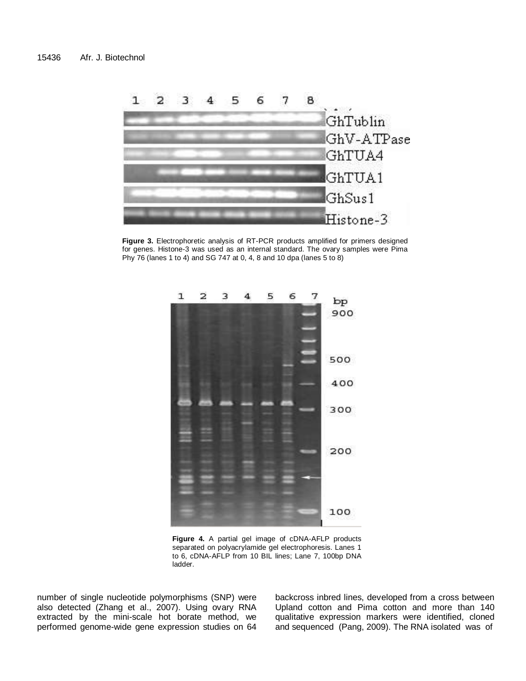

**Figure 3.** Electrophoretic analysis of RT-PCR products amplified for primers designed for genes. Histone-3 was used as an internal standard. The ovary samples were Pima Phy 76 (lanes 1 to 4) and SG 747 at 0, 4, 8 and 10 dpa (lanes 5 to 8)



**Figure 4.** A partial gel image of cDNA-AFLP products separated on polyacrylamide gel electrophoresis. Lanes 1 to 6, cDNA-AFLP from 10 BIL lines; Lane 7, 100bp DNA ladder.

number of single nucleotide polymorphisms (SNP) were also detected (Zhang et al., 2007). Using ovary RNA extracted by the mini-scale hot borate method, we performed genome-wide gene expression studies on 64

backcross inbred lines, developed from a cross between Upland cotton and Pima cotton and more than 140 qualitative expression markers were identified, cloned and sequenced (Pang, 2009). The RNA isolated was of